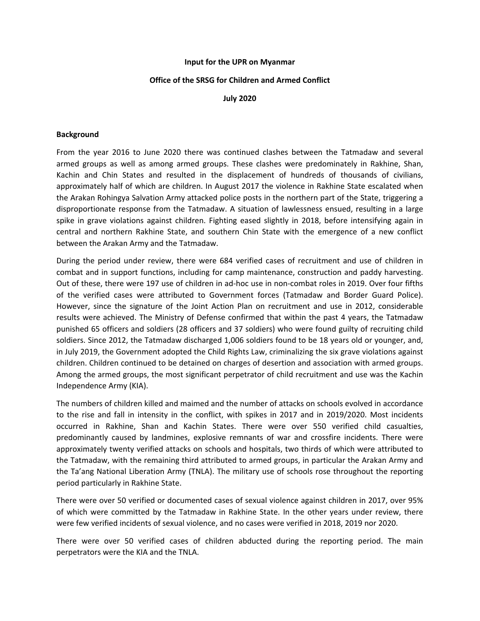## **Input for the UPR on Myanmar**

## **Office of the SRSG for Children and Armed Conflict**

**July 2020**

## **Background**

From the year 2016 to June 2020 there was continued clashes between the Tatmadaw and several armed groups as well as among armed groups. These clashes were predominately in Rakhine, Shan, Kachin and Chin States and resulted in the displacement of hundreds of thousands of civilians, approximately half of which are children. In August 2017 the violence in Rakhine State escalated when the Arakan Rohingya Salvation Army attacked police posts in the northern part of the State, triggering <sup>a</sup> disproportionate response from the Tatmadaw. A situation of lawlessness ensued, resulting in <sup>a</sup> large spike in grave violations against children. Fighting eased slightly in 2018, before intensifying again in central and northern Rakhine State, and southern Chin State with the emergence of <sup>a</sup> new conflict between the Arakan Army and the Tatmadaw.

During the period under review, there were 684 verified cases of recruitment and use of children in combat and in support functions, including for camp maintenance, construction and paddy harvesting. Out of these, there were 197 use of children in ad-hoc use in non-combat roles in 2019. Over four fifths of the verified cases were attributed to Government forces (Tatmadaw and Border Guard Police). However, since the signature of the Joint Action Plan on recruitment and use in 2012, considerable results were achieved. The Ministry of Defense confirmed that within the past 4 years, the Tatmadaw punished 65 officers and soldiers (28 officers and 37 soldiers) who were found guilty of recruiting child soldiers. Since 2012, the Tatmadaw discharged 1,006 soldiers found to be 18 years old or younger, and, in July 2019, the Government adopted the Child Rights Law, criminalizing the six grave violations against children. Children continued to be detained on charges of desertion and association with armed groups. Among the armed groups, the most significant perpetrator of child recruitment and use was the Kachin Independence Army (KIA).

The numbers of children killed and maimed and the number of attacks on schools evolved in accordance to the rise and fall in intensity in the conflict, with spikes in 2017 and in 2019/2020. Most incidents occurred in Rakhine, Shan and Kachin States. There were over 550 verified child casualties, predominantly caused by landmines, explosive remnants of war and crossfire incidents. There were approximately twenty verified attacks on schools and hospitals, two thirds of which were attributed to the Tatmadaw, with the remaining third attributed to armed groups, in particular the Arakan Army and the Ta'ang National Liberation Army (TNLA). The military use of schools rose throughout the reporting period particularly in Rakhine State.

There were over 50 verified or documented cases of sexual violence against children in 2017, over 95% of which were committed by the Tatmadaw in Rakhine State. In the other years under review, there were few verified incidents of sexual violence, and no cases were verified in 2018, 2019 nor 2020.

There were over 50 verified cases of children abducted during the reporting period. The main perpetrators were the KIA and the TNLA.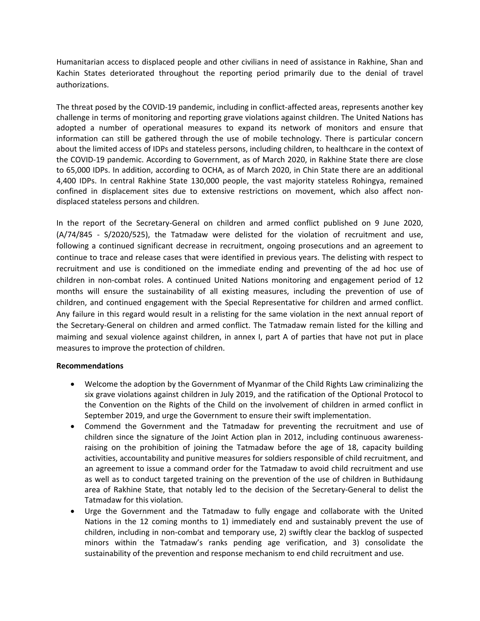Humanitarian access to displaced people and other civilians in need of assistance in Rakhine, Shan and Kachin States deteriorated throughout the reporting period primarily due to the denial of travel authorizations.

The threat posed by the COVID-19 pandemic, including in conflict-affected areas, represents another key challenge in terms of monitoring and reporting grave violations against children. The United Nations has adopted <sup>a</sup> number of operational measures to expand its network of monitors and ensure that information can still be gathered through the use of mobile technology. There is particular concern about the limited access of IDPs and stateless persons, including children, to healthcare in the context of the COVID-19 pandemic. According to Government, as of March 2020, in Rakhine State there are close to 65,000 IDPs. In addition, according to OCHA, as of March 2020, in Chin State there are an additional 4,400 IDPs. In central Rakhine State 130,000 people, the vast majority stateless Rohingya, remained confined in displacement sites due to extensive restrictions on movement, which also affect nondisplaced stateless persons and children.

In the report of the Secretary-General on children and armed conflict published on 9 June 2020, (A/74/845 - S/2020/525), the Tatmadaw were delisted for the violation of recruitment and use, following <sup>a</sup> continued significant decrease in recruitment, ongoing prosecutions and an agreement to continue to trace and release cases that were identified in previous years. The delisting with respect to recruitment and use is conditioned on the immediate ending and preventing of the ad hoc use of children in non-combat roles. A continued United Nations monitoring and engagement period of 12 months will ensure the sustainability of all existing measures, including the prevention of use of children, and continued engagement with the Special Representative for children and armed conflict. Any failure in this regard would result in <sup>a</sup> relisting for the same violation in the next annual report of the Secretary-General on children and armed conflict. The Tatmadaw remain listed for the killing and maiming and sexual violence against children, in annex I, part A of parties that have not put in place measures to improve the protection of children.

## **Recommendations**

- Welcome the adoption by the Government of Myanmar of the Child Rights Law criminalizing the six grave violations against children in July 2019, and the ratification of the Optional Protocol to the Convention on the Rights of the Child on the involvement of children in armed conflict in September 2019, and urge the Government to ensure their swift implementation.
- Commend the Government and the Tatmadaw for preventing the recruitment and use of children since the signature of the Joint Action plan in 2012, including continuous awarenessraising on the prohibition of joining the Tatmadaw before the age of 18, capacity building activities, accountability and punitive measures for soldiers responsible of child recruitment, and an agreement to issue <sup>a</sup> command order for the Tatmadaw to avoid child recruitment and use as well as to conduct targeted training on the prevention of the use of children in Buthidaung area of Rakhine State, that notably led to the decision of the Secretary-General to delist the Tatmadaw for this violation.
- e Urge the Government and the Tatmadaw to fully engage and collaborate with the United Nations in the 12 coming months to 1) immediately end and sustainably prevent the use of children, including in non-combat and temporary use, 2) swiftly clear the backlog of suspected minors within the Tatmadaw'<sup>s</sup> ranks pending age verification, and 3) consolidate the sustainability of the prevention and response mechanism to end child recruitment and use.